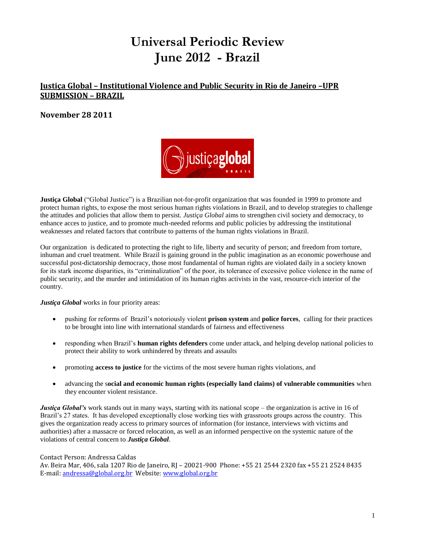# **Universal Periodic Review June 2012 - Brazil**

# **Justiça Global – Institutional Violence and Public Security in Rio de Janeiro –UPR SUBMISSION – BRAZIL**

#### **November 28 2011**



**Justiça Global** ("Global Justice") is a Brazilian not-for-profit organization that was founded in 1999 to promote and protect human rights, to expose the most serious human rights violations in Brazil, and to develop strategies to challenge the attitudes and policies that allow them to persist. *Justiça Global* aims to strengthen civil society and democracy, to enhance acces to justice, and to promote much-needed reforms and public policies by addressing the institutional weaknesses and related factors that contribute to patterns of the human rights violations in Brazil.

Our organization is dedicated to protecting the right to life, liberty and security of person; and freedom from torture, inhuman and cruel treatment. While Brazil is gaining ground in the public imagination as an economic powerhouse and successful post-dictatorship democracy, those most fundamental of human rights are violated daily in a society known for its stark income disparities, its "criminalization" of the poor, its tolerance of excessive police violence in the name of public security, and the murder and intimidation of its human rights activists in the vast, resource-rich interior of the country.

*Justiça Global* works in four priority areas:

- pushing for reforms of Brazil's notoriously violent **prison system** and **police forces**, calling for their practices to be brought into line with international standards of fairness and effectiveness
- responding when Brazil's **human rights defenders** come under attack, and helping develop national policies to protect their ability to work unhindered by threats and assaults
- promoting **access to justice** for the victims of the most severe human rights violations, and
- advancing the s**ocial and economic human rights (especially land claims) of vulnerable communities** when they encounter violent resistance.

*Justica Global's* work stands out in many ways, starting with its national scope – the organization is active in 16 of Brazil's 27 states. It has developed exceptionally close working ties with grassroots groups across the country. This gives the organization ready access to primary sources of information (for instance, interviews with victims and authorities) after a massacre or forced relocation, as well as an informed perspective on the systemic nature of the violations of central concern to *Justiça Global*.

#### Contact Person: Andressa Caldas

Av. Beira Mar, 406, sala 1207 Rio de Janeiro, RJ – 20021-900 Phone: +55 21 2544 2320 fax +55 21 2524 8435 E-mail: [andressa@global.org.br](mailto:andressa@global.org.br) Website[: www.global.org.br](http://www.global.org.br/)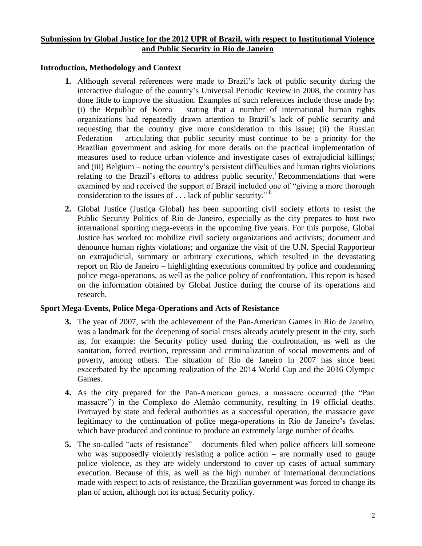#### **Submission by Global Justice for the 2012 UPR of Brazil, with respect to Institutional Violence and Public Security in Rio de Janeiro**

### **Introduction, Methodology and Context**

- **1.** Although several references were made to Brazil's lack of public security during the interactive dialogue of the country's Universal Periodic Review in 2008, the country has done little to improve the situation. Examples of such references include those made by: (i) the Republic of Korea – stating that a number of international human rights organizations had repeatedly drawn attention to Brazil's lack of public security and requesting that the country give more consideration to this issue; (ii) the Russian Federation – articulating that public security must continue to be a priority for the Brazilian government and asking for more details on the practical implementation of measures used to reduce urban violence and investigate cases of extrajudicial killings; and (iii) Belgium – noting the country's persistent difficulties and human rights violations relating to the Brazil's efforts to address public security.<sup>i</sup> Recommendations that were examined by and received the support of Brazil included one of "giving a more thorough consideration to the issues of  $\dots$  lack of public security."  $\ddot{ }$
- **2.** Global Justice (Justiça Global) has been supporting civil society efforts to resist the Public Security Politics of Rio de Janeiro, especially as the city prepares to host two international sporting mega-events in the upcoming five years. For this purpose, Global Justice has worked to: mobilize civil society organizations and activists; document and denounce human rights violations; and organize the visit of the U.N. Special Rapporteur on extrajudicial, summary or arbitrary executions, which resulted in the devastating report on Rio de Janeiro – highlighting executions committed by police and condemning police mega-operations, as well as the police policy of confrontation. This report is based on the information obtained by Global Justice during the course of its operations and research.

## **Sport Mega-Events, Police Mega-Operations and Acts of Resistance**

- **3.** The year of 2007, with the achievement of the Pan-American Games in Rio de Janeiro, was a landmark for the deepening of social crises already acutely present in the city, such as, for example: the Security policy used during the confrontation, as well as the sanitation, forced eviction, repression and criminalization of social movements and of poverty, among others. The situation of Rio de Janeiro in 2007 has since been exacerbated by the upcoming realization of the 2014 World Cup and the 2016 Olympic Games.
- **4.** As the city prepared for the Pan-American games, a massacre occurred (the "Pan massacre") in the Complexo do Alemão community, resulting in 19 official deaths. Portrayed by state and federal authorities as a successful operation, the massacre gave legitimacy to the continuation of police mega-operations in Rio de Janeiro's favelas, which have produced and continue to produce an extremely large number of deaths.
- **5.** The so-called "acts of resistance" documents filed when police officers kill someone who was supposedly violently resisting a police action  $-$  are normally used to gauge police violence, as they are widely understood to cover up cases of actual summary execution. Because of this, as well as the high number of international denunciations made with respect to acts of resistance, the Brazilian government was forced to change its plan of action, although not its actual Security policy.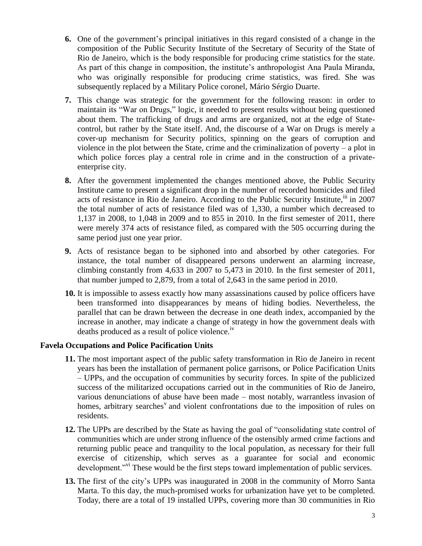- **6.** One of the government's principal initiatives in this regard consisted of a change in the composition of the Public Security Institute of the Secretary of Security of the State of Rio de Janeiro, which is the body responsible for producing crime statistics for the state. As part of this change in composition, the institute's anthropologist Ana Paula Miranda, who was originally responsible for producing crime statistics, was fired. She was subsequently replaced by a Military Police coronel, Mário Sérgio Duarte.
- **7.** This change was strategic for the government for the following reason: in order to maintain its "War on Drugs," logic, it needed to present results without being questioned about them. The trafficking of drugs and arms are organized, not at the edge of Statecontrol, but rather by the State itself. And, the discourse of a War on Drugs is merely a cover-up mechanism for Security politics, spinning on the gears of corruption and violence in the plot between the State, crime and the criminalization of poverty – a plot in which police forces play a central role in crime and in the construction of a privateenterprise city.
- **8.** After the government implemented the changes mentioned above, the Public Security Institute came to present a significant drop in the number of recorded homicides and filed acts of resistance in Rio de Janeiro. According to the Public Security Institute, $\lim_{n \to \infty}$  in 2007 the total number of acts of resistance filed was of 1,330, a number which decreased to 1,137 in 2008, to 1,048 in 2009 and to 855 in 2010. In the first semester of 2011, there were merely 374 acts of resistance filed, as compared with the 505 occurring during the same period just one year prior.
- **9.** Acts of resistance began to be siphoned into and absorbed by other categories. For instance, the total number of disappeared persons underwent an alarming increase, climbing constantly from 4,633 in 2007 to 5,473 in 2010. In the first semester of 2011, that number jumped to 2,879, from a total of 2,643 in the same period in 2010.
- **10.** It is impossible to assess exactly how many assassinations caused by police officers have been transformed into disappearances by means of hiding bodies. Nevertheless, the parallel that can be drawn between the decrease in one death index, accompanied by the increase in another, may indicate a change of strategy in how the government deals with deaths produced as a result of police violence.<sup>1v</sup>

#### **Favela Occupations and Police Pacification Units**

- **11.** The most important aspect of the public safety transformation in Rio de Janeiro in recent years has been the installation of permanent police garrisons, or Police Pacification Units – UPPs, and the occupation of communities by security forces. In spite of the publicized success of the militarized occupations carried out in the communities of Rio de Janeiro, various denunciations of abuse have been made – most notably, warrantless invasion of homes, arbitrary searches<sup>v</sup> and violent confrontations due to the imposition of rules on residents.
- **12.** The UPPs are described by the State as having the goal of "consolidating state control of communities which are under strong influence of the ostensibly armed crime factions and returning public peace and tranquility to the local population, as necessary for their full exercise of citizenship, which serves as a guarantee for social and economic development."<sup>vi</sup> These would be the first steps toward implementation of public services.
- **13.** The first of the city's UPPs was inaugurated in 2008 in the community of Morro Santa Marta. To this day, the much-promised works for urbanization have yet to be completed. Today, there are a total of 19 installed UPPs, covering more than 30 communities in Rio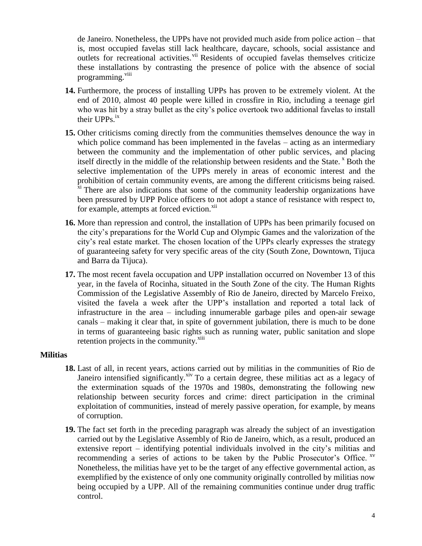de Janeiro. Nonetheless, the UPPs have not provided much aside from police action – that is, most occupied favelas still lack healthcare, daycare, schools, social assistance and outlets for recreational activities.<sup>vii</sup> Residents of occupied favelas themselves criticize these installations by contrasting the presence of police with the absence of social programming.<sup>viii</sup>

- **14.** Furthermore, the process of installing UPPs has proven to be extremely violent. At the end of 2010, almost 40 people were killed in crossfire in Rio, including a teenage girl who was hit by a stray bullet as the city's police overtook two additional favelas to install their  $UPPs.<sup>ix</sup>$
- **15.** Other criticisms coming directly from the communities themselves denounce the way in which police command has been implemented in the favelas – acting as an intermediary between the community and the implementation of other public services, and placing itself directly in the middle of the relationship between residents and the State.  $^{\circ}$  Both the selective implementation of the UPPs merely in areas of economic interest and the prohibition of certain community events, are among the different criticisms being raised. <sup>xi</sup> There are also indications that some of the community leadership organizations have been pressured by UPP Police officers to not adopt a stance of resistance with respect to, for example, attempts at forced eviction.<sup>xii</sup>
- **16.** More than repression and control, the installation of UPPs has been primarily focused on the city's preparations for the World Cup and Olympic Games and the valorization of the city's real estate market. The chosen location of the UPPs clearly expresses the strategy of guaranteeing safety for very specific areas of the city (South Zone, Downtown, Tijuca and Barra da Tijuca).
- **17.** The most recent favela occupation and UPP installation occurred on November 13 of this year, in the favela of Rocinha, situated in the South Zone of the city. The Human Rights Commission of the Legislative Assembly of Rio de Janeiro, directed by Marcelo Freixo, visited the favela a week after the UPP's installation and reported a total lack of infrastructure in the area – including innumerable garbage piles and open-air sewage canals – making it clear that, in spite of government jubilation, there is much to be done in terms of guaranteeing basic rights such as running water, public sanitation and slope retention projects in the community.<sup>xiii</sup>

#### **Militias**

- **18.** Last of all, in recent years, actions carried out by militias in the communities of Rio de Janeiro intensified significantly. $x^iv$  To a certain degree, these militias act as a legacy of the extermination squads of the 1970s and 1980s, demonstrating the following new relationship between security forces and crime: direct participation in the criminal exploitation of communities, instead of merely passive operation, for example, by means of corruption.
- **19.** The fact set forth in the preceding paragraph was already the subject of an investigation carried out by the Legislative Assembly of Rio de Janeiro, which, as a result, produced an extensive report – identifying potential individuals involved in the city's militias and recommending a series of actions to be taken by the Public Prosecutor's Office. XV Nonetheless, the militias have yet to be the target of any effective governmental action, as exemplified by the existence of only one community originally controlled by militias now being occupied by a UPP. All of the remaining communities continue under drug traffic control.